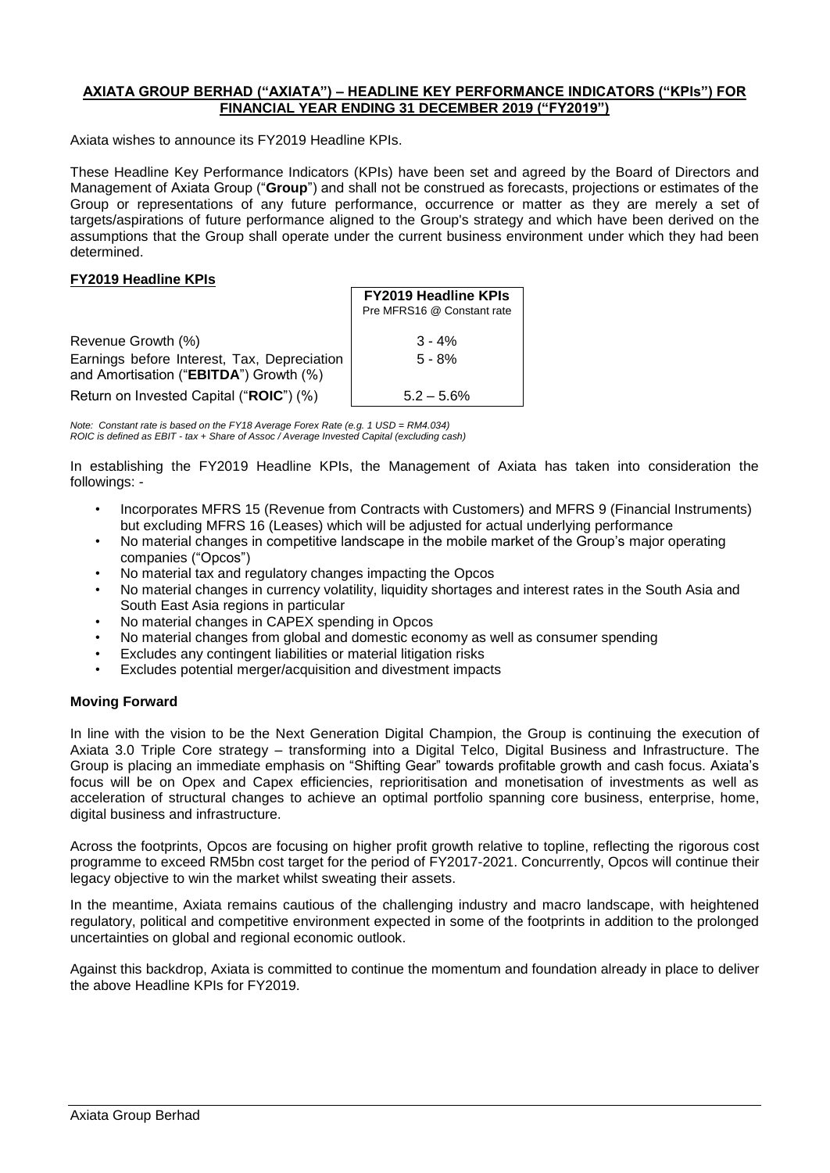## **AXIATA GROUP BERHAD ("AXIATA") – HEADLINE KEY PERFORMANCE INDICATORS ("KPIs") FOR FINANCIAL YEAR ENDING 31 DECEMBER 2019 ("FY2019")**

Axiata wishes to announce its FY2019 Headline KPIs.

These Headline Key Performance Indicators (KPIs) have been set and agreed by the Board of Directors and Management of Axiata Group ("**Group**") and shall not be construed as forecasts, projections or estimates of the Group or representations of any future performance, occurrence or matter as they are merely a set of targets/aspirations of future performance aligned to the Group's strategy and which have been derived on the assumptions that the Group shall operate under the current business environment under which they had been determined.

## **FY2019 Headline KPIs**

|                                                                                       | <b>FY2019 Headline KPIs</b><br>Pre MFRS16 @ Constant rate |
|---------------------------------------------------------------------------------------|-----------------------------------------------------------|
| Revenue Growth (%)                                                                    | $3 - 4%$                                                  |
| Earnings before Interest, Tax, Depreciation<br>and Amortisation ("EBITDA") Growth (%) | $5 - 8%$                                                  |
| Return on Invested Capital ("ROIC") (%)                                               | $5.2 - 5.6\%$                                             |

*Note: Constant rate is based on the FY18 Average Forex Rate (e.g. 1 USD = RM4.034) ROIC is defined as EBIT - tax + Share of Assoc / Average Invested Capital (excluding cash)*

In establishing the FY2019 Headline KPIs, the Management of Axiata has taken into consideration the followings: -

- Incorporates MFRS 15 (Revenue from Contracts with Customers) and MFRS 9 (Financial Instruments) but excluding MFRS 16 (Leases) which will be adjusted for actual underlying performance
- No material changes in competitive landscape in the mobile market of the Group's major operating companies ("Opcos")
- No material tax and regulatory changes impacting the Opcos
- No material changes in currency volatility, liquidity shortages and interest rates in the South Asia and South East Asia regions in particular
- No material changes in CAPEX spending in Opcos
- No material changes from global and domestic economy as well as consumer spending
- Excludes any contingent liabilities or material litigation risks
- Excludes potential merger/acquisition and divestment impacts

## **Moving Forward**

In line with the vision to be the Next Generation Digital Champion, the Group is continuing the execution of Axiata 3.0 Triple Core strategy – transforming into a Digital Telco, Digital Business and Infrastructure. The Group is placing an immediate emphasis on "Shifting Gear" towards profitable growth and cash focus. Axiata's focus will be on Opex and Capex efficiencies, reprioritisation and monetisation of investments as well as acceleration of structural changes to achieve an optimal portfolio spanning core business, enterprise, home, digital business and infrastructure.

Across the footprints, Opcos are focusing on higher profit growth relative to topline, reflecting the rigorous cost programme to exceed RM5bn cost target for the period of FY2017-2021. Concurrently, Opcos will continue their legacy objective to win the market whilst sweating their assets.

In the meantime, Axiata remains cautious of the challenging industry and macro landscape, with heightened regulatory, political and competitive environment expected in some of the footprints in addition to the prolonged uncertainties on global and regional economic outlook.

Against this backdrop, Axiata is committed to continue the momentum and foundation already in place to deliver the above Headline KPIs for FY2019.